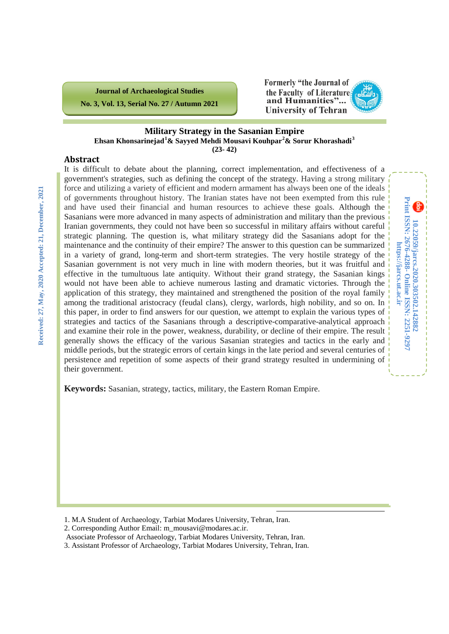

**10.22059/jarcs.2020.303502.142882**

**Online ISSN: 2251-9297**

**https://jarcs.ut.ac.ir**

https://jarcs.ut.ac.ir

Print ISSN: 2676-4288- Online ISSN: 2251-9297 10.22059/jarcs.2020.303502.142882

**Print ISSN: 2676-4288-**

#### **Military Strategy in the Sasanian Empire Ehsan Khonsarinejad[1](#page-0-0) & Sayyed Mehdi Mousavi Kouhpar[2](#page-0-1) & Sorur Khorashadi[3](#page-0-2) (23- 42)**

### **Abstract**

It is difficult to debate about the planning, correct implementation, and effectiveness of a government's strategies, such as defining the concept of the strategy. Having a strong military force and utilizing a variety of efficient and modern armament has always been one of the ideals of governments throughout history. The Iranian states have not been exempted from this rule and have used their financial and human resources to achieve these goals. Although the Sasanians were more advanced in many aspects of administration and military than the previous Iranian governments, they could not have been so successful in military affairs without careful strategic planning. The question is, what military strategy did the Sasanians adopt for the maintenance and the continuity of their empire? The answer to this question can be summarized in a variety of grand, long-term and short-term strategies. The very hostile strategy of the Sasanian government is not very much in line with modern theories, but it was fruitful and effective in the tumultuous late antiquity. Without their grand strategy, the Sasanian kings would not have been able to achieve numerous lasting and dramatic victories. Through the application of this strategy, they maintained and strengthened the position of the royal family among the traditional aristocracy (feudal clans), clergy, warlords, high nobility, and so on. In this paper, in order to find answers for our question, we attempt to explain the various types of strategies and tactics of the Sasanians through a descriptive-comparative-analytical approach and examine their role in the power, weakness, durability, or decline of their empire. The result generally shows the efficacy of the various Sasanian strategies and tactics in the early and middle periods, but the strategic errors of certain kings in the late period and several centuries of persistence and repetition of some aspects of their grand strategy resulted in undermining of their government.

**Keywords:** Sasanian, strategy, tactics, military, the Eastern Roman Empire.

- <span id="page-0-1"></span>2. Corresponding Author Email: m\_mousavi@modares.ac.ir.
- Associate Professor of Archaeology, Tarbiat Modares University, Tehran, Iran.

 $\overline{a}$ 

<span id="page-0-2"></span>3. Assistant Professor of Archaeology, Tarbiat Modares University, Tehran, Iran.

<span id="page-0-0"></span><sup>1.</sup> M.A Student of Archaeology, Tarbiat Modares University, Tehran, Iran.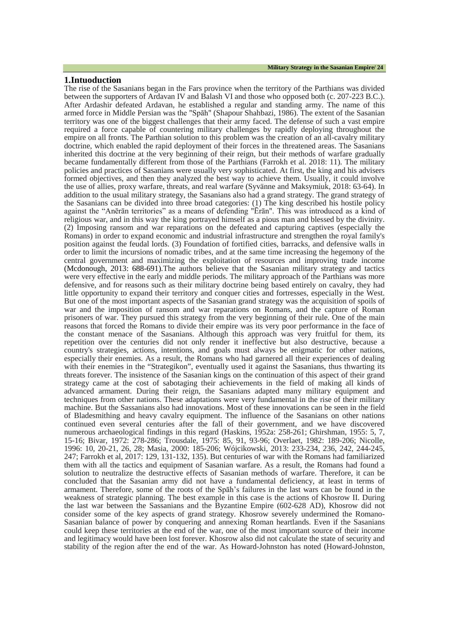The rise of the Sasanians began in the Fars province when the territory of the Parthians was divided between the supporters of Ardavan IV and Balash VI and those who opposed both (c. 207-223 B.C.). After Ardashir defeated Ardavan, he established a regular and standing army. The name of this armed force in Middle Persian was the "Spāh" (Shapour Shahbazi, 1986). The extent of the Sasanian territory was one of the biggest challenges that their army faced. The defense of such a vast empire required a force capable of countering military challenges by rapidly deploying throughout the empire on all fronts. The Parthian solution to this problem was the creation of an all-cavalry military doctrine, which enabled the rapid deployment of their forces in the threatened areas. The Sasanians inherited this doctrine at the very beginning of their reign, but their methods of warfare gradually became fundamentally different from those of the Parthians (Farrokh et al. 2018: 11). The military policies and practices of Sasanians were usually very sophisticated. At first, the king and his advisers formed objectives, and then they analyzed the best way to achieve them. Usually, it could involve the use of allies, proxy warfare, threats, and real warfare (Syvänne and Maksymiuk, 2018: 63-64). In addition to the usual military strategy, the Sasanians also had a grand strategy. The grand strategy of the Sasanians can be divided into three broad categories: (1) The king described his hostile policy against the "Anērān territories" as a means of defending "Ērān". This was introduced as a kind of religious war, and in this way the king portrayed himself as a pious man and blessed by the divinity. (2) Imposing ransom and war reparations on the defeated and capturing captives (especially the Romans) in order to expand economic and industrial infrastructure and strengthen the royal family's position against the feudal lords. (3) Foundation of fortified cities, barracks, and defensive walls in order to limit the incursions of nomadic tribes, and at the same time increasing the hegemony of the central government and maximizing the exploitation of resources and improving trade income (Mcdonough, 2013: 688-691).The authors believe that the Sasanian military strategy and tactics were very effective in the early and middle periods. The military approach of the Parthians was more defensive, and for reasons such as their military doctrine being based entirely on cavalry, they had little opportunity to expand their territory and conquer cities and fortresses, especially in the West. But one of the most important aspects of the Sasanian grand strategy was the acquisition of spoils of war and the imposition of ransom and war reparations on Romans, and the capture of Roman prisoners of war. They pursued this strategy from the very beginning of their rule. One of the main reasons that forced the Romans to divide their empire was its very poor performance in the face of the constant menace of the Sasanians. Although this approach was very fruitful for them, its repetition over the centuries did not only render it ineffective but also destructive, because a country's strategies, actions, intentions, and goals must always be enigmatic for other nations, especially their enemies. As a result, the Romans who had garnered all their experiences of dealing with their enemies in the "Strategikon", eventually used it against the Sasanians, thus thwarting its threats forever. The insistence of the Sasanian kings on the continuation of this aspect of their grand strategy came at the cost of sabotaging their achievements in the field of making all kinds of advanced armament. During their reign, the Sasanians adapted many military equipment and techniques from other nations. These adaptations were very fundamental in the rise of their military machine. But the Sassanians also had innovations. Most of these innovations can be seen in the field of Bladesmithing and heavy cavalry equipment. The influence of the Sasanians on other nations continued even several centuries after the fall of their government, and we have discovered numerous archaeological findings in this regard (Haskins, 1952a: 258-261; Ghirshman, 1955: 5, 7, 15-16; Bivar, 1972: 278-286; Trousdale, 1975: 85, 91, 93-96; Overlaet, 1982: 189-206; Nicolle, 1996: 10, 20-21, 26, 28; Masia, 2000: 185-206; Wójcikowski, 2013: 233-234, 236, 242, 244-245, 247; Farrokh et al, 2017: 129, 131-132, 135). But centuries of war with the Romans had familiarized them with all the tactics and equipment of Sasanian warfare. As a result, the Romans had found a solution to neutralize the destructive effects of Sasanian methods of warfare. Therefore, it can be concluded that the Sasanian army did not have a fundamental deficiency, at least in terms of armament. Therefore, some of the roots of the Spāh's failures in the last wars can be found in the weakness of strategic planning. The best example in this case is the actions of Khosrow II. During the last war between the Sassanians and the Byzantine Empire (602-628 AD), Khosrow did not consider some of the key aspects of grand strategy. Khosrow severely undermined the Romano-Sasanian balance of power by conquering and annexing Roman heartlands. Even if the Sasanians could keep these territories at the end of the war, one of the most important source of their income and legitimacy would have been lost forever. Khosrow also did not calculate the state of security and stability of the region after the end of the war. As Howard-Johnston has noted (Howard-Johnston,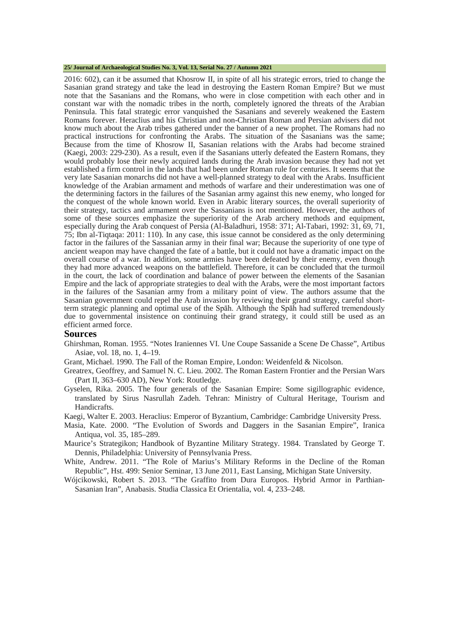#### **25/ Journal of Archaeological Studies No. 3, Vol. 13, Serial No. 27 / Autumn 2021**

2016: 602), can it be assumed that Khosrow II, in spite of all his strategic errors, tried to change the Sasanian grand strategy and take the lead in destroying the Eastern Roman Empire? But we must note that the Sasanians and the Romans, who were in close competition with each other and in constant war with the nomadic tribes in the north, completely ignored the threats of the Arabian Peninsula. This fatal strategic error vanquished the Sasanians and severely weakened the Eastern Romans forever. Heraclius and his Christian and non-Christian Roman and Persian advisers did not know much about the Arab tribes gathered under the banner of a new prophet. The Romans had no practical instructions for confronting the Arabs. The situation of the Sasanians was the same; Because from the time of Khosrow II, Sasanian relations with the Arabs had become strained (Kaegi, 2003: 229-230). As a result, even if the Sasanians utterly defeated the Eastern Romans, they would probably lose their newly acquired lands during the Arab invasion because they had not yet established a firm control in the lands that had been under Roman rule for centuries. It seems that the very late Sasanian monarchs did not have a well-planned strategy to deal with the Arabs. Insufficient knowledge of the Arabian armament and methods of warfare and their underestimation was one of the determining factors in the failures of the Sasanian army against this new enemy, who longed for the conquest of the whole known world. Even in Arabic literary sources, the overall superiority of their strategy, tactics and armament over the Sassanians is not mentioned. However, the authors of some of these sources emphasize the superiority of the Arab archery methods and equipment, especially during the Arab conquest of Persia (Al-Baladhuri, 1958: 371; Al-Tabari, 1992: 31, 69, 71, 75; Ibn al-Tiqtaqa: 2011: 110). In any case, this issue cannot be considered as the only determining factor in the failures of the Sassanian army in their final war; Because the superiority of one type of ancient weapon may have changed the fate of a battle, but it could not have a dramatic impact on the overall course of a war. In addition, some armies have been defeated by their enemy, even though they had more advanced weapons on the battlefield. Therefore, it can be concluded that the turmoil in the court, the lack of coordination and balance of power between the elements of the Sasanian Empire and the lack of appropriate strategies to deal with the Arabs, were the most important factors in the failures of the Sasanian army from a military point of view. The authors assume that the Sasanian government could repel the Arab invasion by reviewing their grand strategy, careful shortterm strategic planning and optimal use of the Spāh. Although the Spāh had suffered tremendously due to governmental insistence on continuing their grand strategy, it could still be used as an efficient armed force.

#### **Sources**

- Ghirshman, Roman. 1955. "Notes Iraniennes VI. Une Coupe Sassanide a Scene De Chasse", Artibus Asiae, vol. 18, no. 1, 4–19.
- Grant, Michael. 1990. The Fall of the Roman Empire, London: Weidenfeld & Nicolson.
- Greatrex, Geoffrey, and Samuel N. C. Lieu. 2002. The Roman Eastern Frontier and the Persian Wars (Part II, 363–630 AD), New York: Routledge.
- Gyselen, Rika. 2005. The four generals of the Sasanian Empire: Some sigillographic evidence, translated by Sirus Nasrullah Zadeh. Tehran: Ministry of Cultural Heritage, Tourism and Handicrafts.
- Kaegi, Walter E. 2003. Heraclius: Emperor of Byzantium, Cambridge: Cambridge University Press.
- Masia, Kate. 2000. "The Evolution of Swords and Daggers in the Sasanian Empire", Iranica Antiqua, vol. 35, 185–289.
- Maurice's Strategikon; Handbook of Byzantine Military Strategy. 1984. Translated by George T. Dennis, Philadelphia: University of Pennsylvania Press.
- White, Andrew. 2011. "The Role of Marius's Military Reforms in the Decline of the Roman Republic", Hst. 499: Senior Seminar, 13 June 2011, East Lansing, Michigan State University.
- Wójcikowski, Robert S. 2013. "The Graffito from Dura Europos. Hybrid Armor in Parthian-Sasanian Iran", Anabasis. Studia Classica Et Orientalia, vol. 4, 233–248.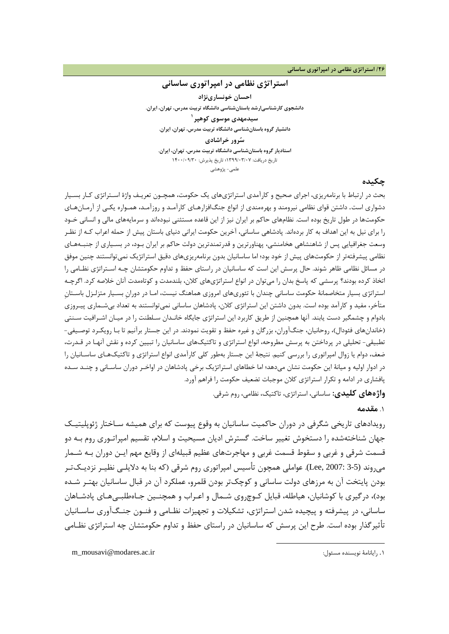#### **/26 استراتژي نظامی در امپراتوري ساسانی**

### **استراتژي نظامی در امپراتوري ساسانی**

**احسان خونسارينژاد دانشجوي کارشناسیارشد باستانشناسی دانشگاه تربیت مدرس، تهران، ایران. [1](#page-3-0) سیدمهدي موسوي کوهپر دانشیار گروه باستانشناسی دانشگاه تربیت مدرس، تهران، ایران. سرور خراشادي استادیار گروه باستانشناسی دانشگاه تربیت مدرس، تهران، ایران.** تاریخ دریافت: 1399/03/07؛ تاریخ پذیرش: 1400/09/30 علمی- پژوهشی

#### **چکیده**

بحث در ارتباط با برنامهریزي، اجراي صحیح و کارآمدي استراتژيهاي یک حکومت، همچـون تعریـف واژ ة اسـتراتژي کـار بسـ یار دشواري است. داشتن قواي نظامی نیرومند و بهرهمندي از انواع جنگافزارهـاي کارآمـد و روزآمـد، همـواره یکـی از آرمـان هـاي حکومتها در طول تاریخ بوده است. نظامهاي حاکم بر ایران نیز از این قاعده مستثنی نبودهاند و سرمایههاي مالی و انسانی خـود را براي نیل به این اهداف به کار بردهاند. پادشاهی ساسانی، آخرین حکومت ایرانی دنیاي باستان پیش از حمله اعراب کـه از نظـر وسعت جغرافیایی پس از شاهنشاهی هخامنشی، پهناورترین و قدرتمندترین دولت حاکم بر ایران بـود، در بسـیاري از جنبـه هـاي نظامی پیشرفتهتر از حکومتهاي پیش از خود بود؛ اما ساسانیان بدون برنامهریزيهاي دقیق استراتژیک نمیتوانستند چنین موفق در مسائل نظامی ظاهر شوند. حال پرسش این است که ساسانیان در راستاي حفظ و تداوم حکومتشان چـه اسـتراتژي نظـ امی را اتخاذ کرده بودند؟ پرسشی که پاسخ بدان را میتوان در انواع استراتژيهاي کلان، بلندمدت و کوتاهمدت آنان خلاصه کرد. اگرچـه استراتژي بسیار متخاصمانۀ حکومت ساسانی چندان با تئوريهاي امروزي هماهنگ نیست، امـا در دورانِ بسـیار متزلـزل باسـتانِ متأخر، مفید و کارآمد بوده است. بدون داشتن این استراتژي کلان، پادشاهان ساسانی نمیتوانستند به تعداد بیشـماري پیـروزي بادوام و چشمگیر دست یابند. آنها همچنین از طریق کاربرد این استراتژی جایگاه خانـدان سـلطنت را در میـان اشـرافیت سـنتی (خاندانهاي فئودال)، روحانیان، جنگآوران، بزرگان و غیره حفظ و تقویت نمودند. در این جستار برآنیم تا بـا رو یکـرد توصـیفی - تطبیقی- تحلیلی در پرداختن به پرسش مطروحه، انواع استراتژي و تاکتیکهاي ساسانیان را تبیین کرده و نقش آنهـا در قـدرت، ضعف، دوام یا زوال امپراتوري را بررسی کنیم. نتیجۀ این جستار بهطور کلی کارآمدي انواع استراتژي و تاکتیکهـاي ساسـانیان را در ادوار اولیه و میانۀ این حکومت نشان میدهد؛ اما خطاهاي استراتژیک برخی پادشاهان در اواخـر دوران ساسـانی و چنـد سـده پافشاري در ادامه و تکرار استراتژي کلان موجبات تضعیف حکومت را فراهم آورد.

**واژههاي کلیدي:** ساسانی، استراتژي، تاکتیک، نظامی، روم شرقی.

1

.1 **مقدمه**

رویدادهاي تاریخی شگرفی در دوران حاکمیت ساسانیان به وقوع پیوست که براي همیشه سـاختار ژئوپلیتیـ ک جهان شناختهشده را دستخوش تغییر ساخت. گسترش ادیان مسیحیت و اسلام، تقسیم امپراتـوري روم بـه دو قسمت شرقی و غربی و سقوط قسمت غربی و مهاجرتهاي عظیم قبیلهاي از وقایع مهم ایـن دوران بـه شـمار میروند (3-5 2007: ,Lee(. عواملی همچون تأسیس امپراتوري روم شرقی (که بنا به دلایلـی نظیـر نزدیـک تـر بودن پایتخت آن به مرزهاي دولت ساسانی و کوچکتر بودن قلمرو، عملکرد آن در قبال ساسانیان بهتـر شـده بود)، درگیري با کوشانیان، هیاطله، قبایل کـوچ روي شـمال و اعـراب و همچنـین جـاه طلبـی هـاي پادشـاهان ساسانی، در پیشرفته و پیچیده شدن استراتژي، تشکیلات و تجهیزات نظـامی و فنـون جنـگ آوري ساسـانیان تأثیرگذار بوده است. طرح این پرسش که ساسانیان در راستاي حفظ و تداوم حکومتشان چه استراتژي نظـامی

<span id="page-3-0"></span>m\_mousavi@modares.ac.ir :مسئول نویسنده رایانامۀ .1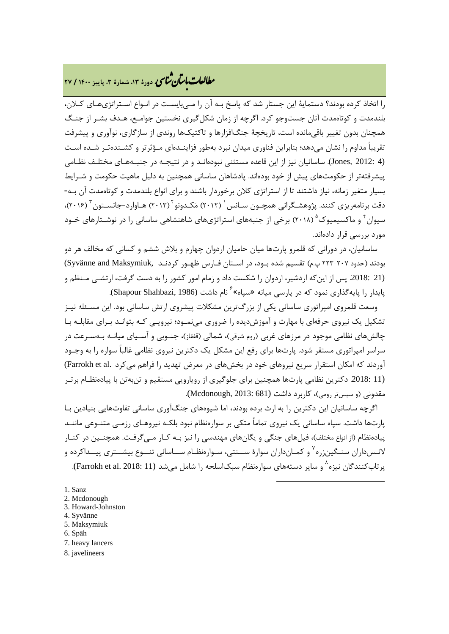# **، دورة ،13 شمارة ،3 پاییز <sup>1400</sup> / <sup>27</sup>** �نا� �طا ی �عات با�تان

را اتخاذ کرده بودند؟ دستمایۀ این جستار شد که پاسخ بـه آن را مـی بایسـت در انـواع اسـتراتژي هـاي کـلان، بلندمدت و کوتاهمدت آنان جستوجو کرد. اگرچه از زمان شکلگیري نخستین جوامـع، هـدف بشـر از جنـگ همچنان بدون تغییر باقیمانده است، تاریخچۀ جنگافزارها و تاکتیکها روندي از سازگاري، نوآوري و پیشرفت تقریباً مداوم را نشان میدهد؛ بنابراین فناوری میدان نبرد بهطور فزاینـدهای مـؤثرتر و کشـندهتـر شـده اسـت (4 2012: ,Jones(. ساسانیان نیز از این قاعده مستثنی نبودهانـد و در نتیجـه در جنبـه هـاي مختلـف نظـامی پیشرفتهتر از حکومتهاي پیش از خود بودهاند. پادشاهان ساسانی همچنین به دلیل ماهیت حکومت و شـرایط بسیار متغیر زمانه، نیاز داشتند تا از استراتژي کلان برخوردار باشند و براي انواع بلندمدت و کوتاهمدت آن بـه - دقت برنامهریزی کنند. پژوهشـگرانی همچـون سـانس p (۲۰۱۲) مَکـدونو ۲۰۱۳) هـاوارد-جانسـتون ۲۰۱۶)، سیوان ٔ و ماکسیمیوک <sup>۵</sup> (۲۰۱۸) برخی از جنبههای استراتژیهای شاهنشاهی ساسانی را در نوشـتارهای خـود مورد بررسی قرار دادهاند.

[س](#page-4-4)اسانیان، در دورانی که قلمرو پارتها میان حامیان اردوان چهارم و بلاش ششم و کسانی که مخالف هر دو بودند (حدود ٢٠٧-٢٢٣ پ.م) تقسیم شده بـود، در اسـتان فـارس ظهـور کردنـد ,Syvänne and Maksymiuk (21 .2018: پس از اینکه اردشیر، اردوان را شکست داد و زمام امور کشور را به دست گرفت، ارتشـی مـنظم و نام داشت (Shapour Shahbazi, 198[6](#page-4-5)). بایدار را پایهگذاری نمود که در پارسی میانه «سپاه»<sup>۶</sup> نام داشت)

وسعت قلمروي امپراتوري ساسانی یکی از بزرگترین مشکلات پیشروي ارتش ساسانی بود. این مسـئله نیـز تشکیل یک نیروی حرفهای با مهارت و آموزشدیده را ضروری مینمـود؛ نیرویـی کـه بتوانـد بـرای مقابلـه بـا چالشهاي نظامی موجود در مرزهاي غربی (روم شرقی)، شمالی (قفقاز)، جنـوبی و آسـیاي میانـه بـه سـرعت در سراسر امپراتوري مستقر شود. پارتها براي رفع این مشکل یک دکترین نیروي نظامی غالباً سواره را به وجـود آوردند که امکان استقرار سریع نیروهای خود در بخشهای در معرض تهدید را فراهم میکرد .Farrokh et al) (11 .2018: دکترین نظامی پارتها همچنین براي جلوگیري از رویارویی مستقیم و تنبهتن با پیادهنظـام برتـر مقدونی (و سپستر رومی)، کاربرد داشت (681 Mcdonough, 2013: 681).

اگرچه ساسانیان این دکترین را به ارث برده بودند، اما شیوههاي جنگآوري ساسانی تفاوتهایی بنیادین بـا پارتها داشت. سپاه ساسانی یک نیروي تماماً متکی بر سوارهنظام نبود بلکـه نیروهـاي رزمـی متنـوعی ماننـد پیادهنظام (از انواع مختلف)، فیلهاي جنگی و یگانهاي مهندسی را نیز بـه کـار مـی گرفـت. همچنـین در کنـار لانـسداران سنـگینزره <sup>۷</sup> و کمـانداران سوارهٔ ســنتی، سـوارهنظـام ســاسانی تنـــوع بیشــتری پیــداکرده و یر تاب کنندگان نیزه^ و سایر دستههای سوارهنظام سبکاسلحه را شامل می شد (11 :201[8](#page-4-7) .Farrokh et al. 2018).

**.** 

- <span id="page-4-1"></span>2. Mcdonough
- <span id="page-4-2"></span>3. Howard-Johnston
- <span id="page-4-3"></span>4. Syvänne
- <span id="page-4-4"></span>5. Maksymiuk
- <span id="page-4-5"></span>6. Spāh
- <span id="page-4-6"></span>7. heavy lancers
- <span id="page-4-7"></span>8. javelineers

<span id="page-4-0"></span><sup>1.</sup> Sanz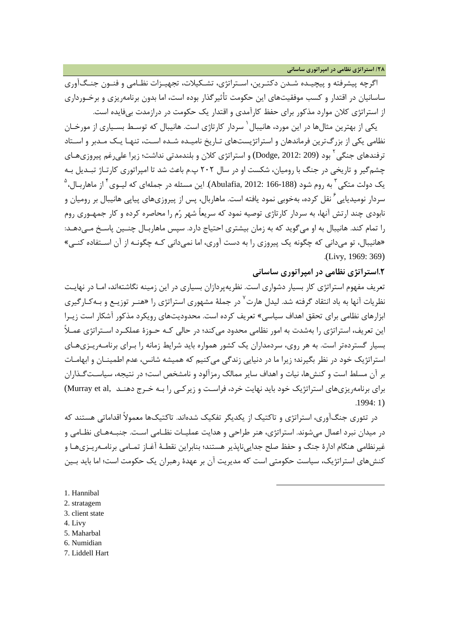اگرچه پیشرفته و پیچیـده شـدن دکتـرین، اسـتراتژي، تشـکیلات، تجهیـزات نظـامی و فنـون جنـگ آوري ساسانیان در اقتدار و کسب موفقیتهاي این حکومت تأثیرگذار بوده است، اما بدون برنامهریزي و برخـورداري از استراتژي کلان موارد مذکور براي حفظ کارآمدي و اقتدار یک حکومت در درازمدت بیفایده است.

یکی از بهترین مثالها در این مورد، هانیبال <sup>۱</sup> سردار کارتاژی است. هانیبال که توسـط بسـیاری از مورخـان نظامی یکی از بزرگترین فرماندهان و استراتژیستهاي تـاریخ نامیـده شـده اسـت، تنهـا یـک مـ دبر و اسـتاد ترفندهای جنگی<sup>۲</sup> بود ([2](#page-5-1)09 :Dodge, 2012) و استراتژی کلان و بلندمدتی نداشت؛ زیرا علیرغم پیروزیهـای چشمگیر و تاریخی در جنگ با رومیان، شکست او در سال 202 پ.م باعث شد تا امپراتوري کارتـاژ تبـدیل بـه  $^{\text{a}}$ دولت متکی ّ به روم شود (188-166 :Abulafia, 2012). این مسئله در جملهای که لیـوی ٔ از ماهاربـال، سردار نومیدیایی <sup>۲</sup> نقل کرده، بهخوبی نمود یافته است. ماهاربال، پس از پیروزیهای پیاپی هانیبال بر رومیان و نابودي چند ارتش آنها، به سردار کارتاژي توصیه نمود که سریعاً شهر رم را محاصره کرده و کار جمهـوري روم را تمام کند. هانیبال به او میگوید که به زمان بیشتري احتیاج دارد. سپس ماهاربـال چنـین پاسـخ مـی دهـد: «هانیبال، تو میدانی که چگونه یک پیروزي را به دست آوري، اما نمیدانی کـه چگونـه از آن اسـتفاده کنـی » .(Livy, 1969: 369)

### **.2استراتژي نظامی در امپراتوري ساسانی**

تعریف مفهوم استراتژي کار بسیار دشواري است. نظریهپردازان بسیاري در این زمینه نگاشتهاند، امـا در نهایـت نظریات آنها به باد انتقاد گرفته شد. لیدل هارت<sup>۷</sup> در جملهٔ مشهوری استراتژی را «هنـر توزیـع و بـهکـارگیری ابزارهاي نظامی براي تحقق اهداف سیاسی» تعریف کرده است. محدودیتهاي رویکرد مذکور آشکار است زیـرا این تعریف، استراتژي را بهشدت به امور نظامی محدود می کند؛ در حالی کـه حـوزهٔ عملکـرد اسـتراتژي عمـلاً بسیار گستردهتر است. به هر روي، سردمداران یک کشور همواره باید شرایط زمانه را بـراي برنامـهریـزيهـاي استراتژیک خود در نظر بگیرند؛ زیرا ما در دنیایی زندگی می کنیم که همیشه شانس، عدم اطمینـان و ابهامـات بر آن مسلط است و کنشها، نیات و اهداف سایر ممالک رمزآلود و نامشخص است؛ در نتیجه، سیاسـت گـذاران براي برنامهریزي هاي استراتژیک خود باید نهایت خرد، فراست و زیرکـی را بـه خـرج دهنـد (Murray et al .1994: 1)

در تئوري جنگآوري، استراتژي و تاکتیک از یکدیگر تفکیک شدهاند. تاکتیکها معمولاً اقداماتی هستند که در میدان نبرد اعمال میشوند. استراتژی، هنر طراحی و هدایت عملیـات نظـامی اسـت. جنبـههـای نظـامی و غیرنظامی هنگام ادارة جنگ و حفظ صلح جداییناپذیر هستند؛ بنابراین نقطـۀ آغـاز تمـامی برنامـه ریـزي هـا و کنشهاي استراتژیک، سیاست حکومتی است که مدیریت آن بر عهدة رهبران یک حکومت است؛ اما باید بـین

**.** 

- <span id="page-5-0"></span>1. Hannibal
- <span id="page-5-1"></span>2. stratagem
- <span id="page-5-2"></span>3. client state
- <span id="page-5-3"></span>4. Livy
- <span id="page-5-4"></span>5. Maharbal
- <span id="page-5-5"></span>6. Numidian
- <span id="page-5-6"></span>7. Liddell Hart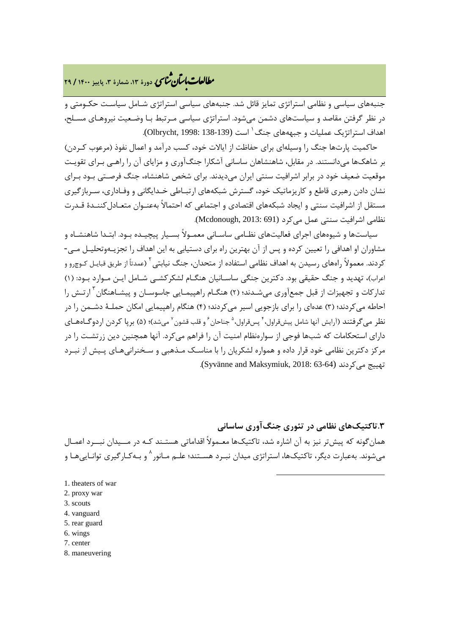## **، دورة ،13 شمارة ،3 پاییز <sup>1400</sup> / <sup>29</sup>** �نا� �طا ی �عات با�تان

جنبههاي سیاسی و نظامی استراتژي تمایز قائل شد. جنبههاي سیاسی استراتژي شـامل سیاسـت حکـومتی و در نظر گرفتن مقاصد و سیاستهاي دشمن میشود. استراتژي سیاسی مـرتبط بـا وضـعیت نیروهـاي مسـلح، است (138-139 1998: ,Olbrycht(. [1](#page-6-0) اهداف استراتژیک عملیات و جبهههاي جنگ

حاکمیت پارتها جنگ را وسیلهاي براي حفاظت از ایالات خود، کسب درآمد و اعمال نفوذ (مرعوب کـ ردن) بر شاهکها میدانستند. در مقابل، شاهنشاهان ساسانی آشکارا جنگآوري و مزایاي آن را راهـی بـر اي تقویـت موقعیت ضعیف خود در برابر اشرافیت سنتی ایران می دیدند. برای شخص شاهنشاه، جنگ فرصـتی بـود بـرای نشان دادن رهبري قاطع و کاریزماتیک خود، گسترش شبکههاي ارتبـاطی خـد ایگانی و وفـادار ي، سـربازگیري مستقل از اشرافیت سنتی و ایجاد شبکههاي اقتصادي و اجتماعی که احتمالاً بهعنـوان متعـادل کننـدة قـدرت نظامی اشرافیت سنتی عمل میکرد (Mcdonough, 2013: 691).

سیاستها و شیوههای اجرای فعالیتهای نظـامی ساسـانی معمـولاً بسـیار پیچیـده بـود. ابتـدا شاهنشـاه و مشاوران او اهدافی را تعیین کرده و پس از آن بهترین راه برای دستیابی به این اهداف را تجزیــهوتحلیــل مـی-کردند. معمولاً راههاي رسيدن به اهداف نظامي استفاده از متحدان، جنگ نيابتي <sup>۲</sup> (عمدتاً از طريق قبايـل کـوچرو و اعراب)، تهدید و جنگ حقیقی بود. دکترین جنگی ساسـانیان هنگـام لشکرکشـی شـامل ایـن مـوارد بـود : (1) تدارکات و تجهیزات از قبل جمعآوری می شـدند؛ (۲) هنگـام راهپیمـایی جاسوسـان و پیشـاهنگان <sup>۳</sup> ارتـش را احاطه میکردند؛ (3) عدهاي را براي بازجویی اسیر میکردند؛ (4) هنگام راهپیمایی امکان حملـ ۀ دشـمن را در نظر میگرفتند (آرایش آنها شامل پیشقراول، ٔ پسقراول، ْ جناحان ٗ و قلب قشون ٚ میشد)؛ (۵) برپا کردن اردوگــاههــای داراي استحکامات که شبها فوجی از سوارهنظام امنیت آن را فراهم میکرد. آنها همچنین دین زرتشـت را در مرکز دکترین نظامی خود قرار داده و همواره لشکریان را با مناسـک مـذهبی و سـخنرانی هـاي پـیش از نبـرد .(Syvänne and Maksymiuk, 2018: 63-64) میکردند تهییج

**.3تاکتیکهاي نظامی در تئوري جنگآوري ساسانی** همانگونه که پیشتر نیز به آن اشاره شد، تاکتیکها معـمولاً اقداماتی هستـند کـه در مـ ـیدان نبـ ـرد اعمـال میشوند. بهعبارت دیگر، تاکتیکها، استراتژي میدان نبـرد هسـتند؛ علـم مـانور 8 و بـه کـارگیري توانـایی هـا و

-

- <span id="page-6-0"></span>[1](#page-6-7). theaters of war
- <span id="page-6-1"></span>2. proxy war
- <span id="page-6-2"></span>3. scouts
- <span id="page-6-4"></span><span id="page-6-3"></span>4. vanguard
- 5. rear guard
- <span id="page-6-5"></span>6. wings
- <span id="page-6-6"></span>7. center
- <span id="page-6-7"></span>8. maneuvering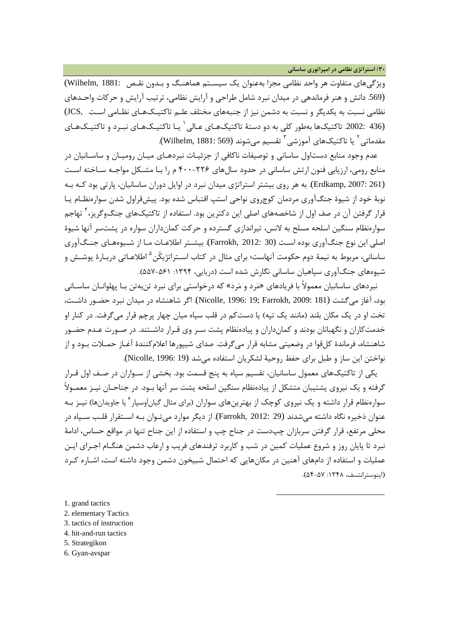**/30 استراتژي نظامی در امپراتوري ساسانی**

ویژگیهاي متفاوت هر واحد نظامی مجزا بهعنوان یک سیسـتم هماهنـگ و بـدون نقـص 1881: ,Wilhelm( (.569 دانش و هنر فرماندهی در میدان نبرد شامل طراحی و آرایش نظامی، ترتیب آرایش و حرکات واحـدهاي نظامی نسبت به یکدیگر و نسبت به دشمن نیز از جنبههاي مختلف علـم تاکتیـک هـاي نظـامی اسـت ,JCS( یـا تاکتیـک هـاي نبـرد و تاکتیـک هـاي [1](#page-7-0) (436 .2002: تاکتیکها بهطور کلی به دو دستۀ تاکتیکهـاي عـالی مقدماتی <sup>۲</sup> یا تاکتیکهای آموزشی <sup>۳</sup> تقسیم می شوند (1881: 569). Wilhelm, 1881:

عدم وجود منابع دستاول ساسانی و توصیفات ناکافی از جزئیـات نبردهـای میـان رومیـان و ساسـانیان در منابع رومی، ارزیابی فنون ارتش ساسانی در حدود سالهاي 400-226 م را بـا مشـکل مواجـه سـاخته اسـت (261 2007: ,Erdkamp(. به هر روي بیشتر استراتژي میدان نبرد در اوایل دوران ساسانیان، پارتی بود کـه بـه نوبۀ خود از شیوة جنگآوري مردمان کوچروي نواحی استپ اقتباس شده بود. پیشقراول شدن سوارهنظـام یـا قرار گرفتن آن در صف اول از شاخصههاي اصلی این دکترین بود. استفاده از تاکتیکهاي جنگوگریز، <sup>۲</sup> تهاجم سوارهنظام سنگین اسلحه مسلح به لانس، تیراندازي گسترده و حرکت کمانداران سواره در پشتسر آنها شیوة اصلی این نوع جنگآوري بوده اسـت (30 2012: ,Farrokh(. بیشـتر اطلاعـات مـا از شـیوه هـاي جنـگ آوري ساسانی، مربوط به نیمۀ دوم حکومت آنهاست؛ برای مثال در کتاب اسـتراتژیکُن<sup>۵</sup> اطلاعـاتی دربـارۀ پوشـش و شیوههای جنگآوری سپاهیان ساسانی نگارش شده است (دریایی، ۱۳۹۴: ۵۵۱-۵۵۷).

نبردهاي ساسانیان معمولاً با فریادهاي [«](#page-7-4)مرد و مرد» که درخواستی براي نبرد تنبهتن بـا پهلوانـان ساسـانی بود، آغاز میگشت (181 2009: ,Farrokh; 19 1996: ,Nicolle(. اگر شاهنشاه در میدان نبرد حضـور داشـت، تخت او در یک مکان بلند (مانند یک تپه) یا دستکم در قلب سپاه میان چهار پرچم قرار میگرفت. در کنار او خدمتکاران و نگهبانان بودند و کمانداران و پیادهنظام پشت سـر وي قـرار داشـتند. در صـورت عـدم حضـور شاهنشاه، فرماندة کلقوا در وضعیتی مشابه قرار میگرفت. صداي شیپورها اعلامکنندة آغـاز حمـلات بـود و از نواختن این ساز و طبل براي حفظ روحیۀ لشکریان استفاده میشد (19 1996: ,Nicolle(.

یکی از تاکتیکهاي معمول ساسانیان، تقسیم سپاه به پنج قسمت بود. بخشی از سـواران در صـف اول قـرار گرفته و یک نیروي پشتیبان متشکل از پیادهنظام سنگین اسلحه پشت سر آنها بـود. در جناحـان نیـز معمـولاً سوارهنظام قرار داشته و یک نیروی کوچک از بهترینهای سواران (برای مثال گیاناَوسپار ٔ یا جاویدانها) نیـز بـه عنوان ذخیره نگاه داشته میشدند (29 2012: ,Farrokh(. از دیگر موارد میتـوان بـه اسـتقرار قلـب سـپاه در محلی مرتفع، قرار گرفتن سربازان چپدست در جناح چپ و استفاده از این جناح تنها در مواقع حساس، ادامۀ نبرد تا پایان روز و شروع عملیات کمین در شب و کاربرد ترفندهاي فریب و ارعاب دشمن هنگـام اجـراي ایـن عملیات و استفاده از دامهاي آهنین در مکانهایی که احتمال شبیخون دشمن وجود داشته است، اشـاره کـرد (اینوسترانتسف، :1348 54-57).

1

- <span id="page-7-0"></span>1. grand tactics
- <span id="page-7-1"></span>2. elementary Tactics
- <span id="page-7-2"></span>3. tactics of instruction
- <span id="page-7-3"></span>4. hit-and-run tactics
- <span id="page-7-4"></span>5. Strategikon
- <span id="page-7-5"></span>6. Gyan-avspar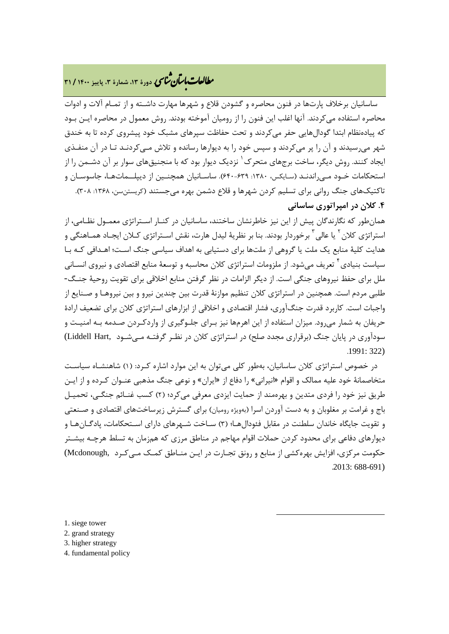# **، دورة ،13 شمارة ،3 پاییز <sup>1400</sup> / <sup>31</sup>** �نا� �طا ی �عات با�تان

ساسانیان برخلاف پارتها در فنون محاصره و گشودن قلاع و شهرها مهارت داشـته و از تمـام آلات و ادوات محاصره استفاده میکردند. آنها اغلب این فنون را از رومیان آموخته بودند. روش معمول در محاصره ایـن بـود که پیادهنظام ابتدا گودالهایی حفر میکردند و تحت حفاظت سپرهای مشبک خود پیشروی کرده تا به خندق شهر میرسیدند و آن را پر میکردند و سپس خود را به دیوارها رسانده و تلاش مـی کردنـد تـا در آن منفـذي ایجاد کنند. روش دیگر، ساخت برجهاى متحرک<sup>٬</sup> نزدیک دیوار بود که با منجنیقهاى سوار بر آن دشـمن را از استحکامات خـود مـی راندنـد (سـایکس، :1380 640-639). ساسـانیان همچنـین از دیپلـ ـماتهـا، جاسوسـان و تاکتیکهای جنگ روانی برای تسلیم کردن شهرها و قلاع دشمن بهره میجستند (کریستنسن، ۱۳۶۸: ۳۰۸). **.[4](#page-8-0) کلان در امپراتوري ساسانی**

همانطور که نگارندگان پیش از این نیز خاطرنشان ساختند، ساسانیان در کنـار اسـتراتژي معمـول نظـامی، از 'ستراتژی کلان <sup>۲</sup> یا عالی <sup>۳</sup> برخوردار بودند. بنا بر نظریۀ لیدل هارت، نقش اسـتراتژی کـلان ایجـاد همـاهنگی و هدایت کلیۀ منابع یک ملت یا گروهی از ملتها براي دستیابی به اهداف سیاسی جنگ اسـت ؛ اهـد افی کـه بـا سیاست بنیادی <sup>۴</sup> تعریف میشود. از ملزومات استراتژی کلان محاسبه و توسعهٔ منابع اقتصادی و نیروی انسـانی ملل براي حفظ نیروهاي جنگی است. از دیگر الزامات در نظر گرفتن منابع اخلاقی براي تقویت روحیۀ جنـگ - طلبی مردم است. همچنین در استراتژي کلان تنظیم موازنۀ قدرت بین چندین نیرو و بین نیروهـا و صـن ایع از واجبات است. کاربرد قدرت جنگآوري، فشار اقتصادي و اخلاقی از ابزارهاي استراتژي کلان براي تضعیف ارادة حریفان به شمار میرود. میزان استفاده از این اهرمها نیز بـراي جلـوگیري از واردکـردن صـدمه بـه امنیـت و سودآوري در پایان جنگ (برقراري مجدد صلح) در استراتژي کلان در نظـر گرفتـه مـی شـود ,Liddell Hart ) .1991: 322)

در خصوص استراتژي کلان ساسانیان، بهطور کلی میتوان به این موارد اشاره کـرد: ( 1) شاهنشـاه سیاسـت متخاصمانۀ خود علیه ممالک و اقوام «انیرانی» را دفاع از «ایران» و نوعی جنگ مذهبی عنـ وان کـرده و از ایـن طریق نیز خود را فردي متدین و بهرهمند از حمایت ایزدي معرفی میکرد؛ (2) کسب غنـائم جنگـی، تحمیـل باج و غرامت بر مغلوبان و به دست آوردن اسرا (بهویژه رومیان) براي گسترش زیرساختهاي اقتصادي و صـنعتی و تقویت جایگاه خاندان سلطنت در مقابل فئودالهـا ؛ (3) سـاخت شـهرهاي داراي اسـتحکامات، پادگـان هـا و دیوارهاي دفاعی براي محدود کردن حملات اقوام مهاجم در مناطق مرزي که همزمان به تسلط هرچـه بیشـتر حکومت مرکزي، افزایش بهرهکشی از منابع و رونق تجـارت در ایـن منـاطق کمـک مـی کـرد ,Mcdonough( .2013: 688-691)

**.** 

<span id="page-8-0"></span>1. siege tower

<span id="page-8-1"></span>2. grand strategy

<span id="page-8-2"></span>3. higher strategy

<span id="page-8-3"></span>4. fundamental policy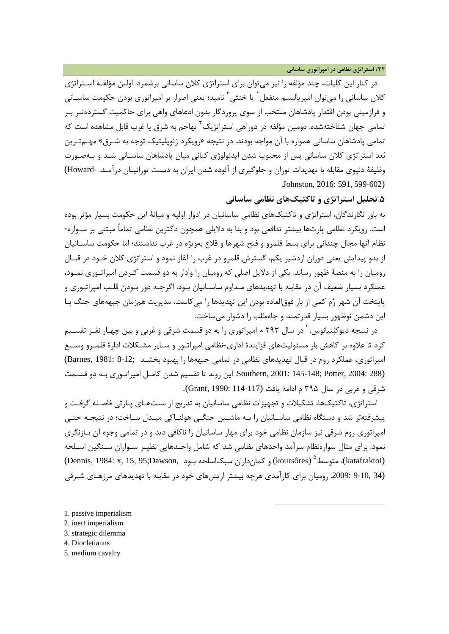در کنار این کلیات، چند مؤلفه را نیز میتوان براي استراتژي کلان ساسانی برشمرد. اولین مؤلفـۀ اسـتراتژي کلان ساسانی را می توان امپر بالیسم منفعل <sup>۱</sup> یا خنثی <sup>۲</sup> نامید؛ یعنی اصرار بر امپراتوری بودن حکومت ساسـانی و فرازمینی بودن اقتدار پادشاهان منتخب از سوي پروردگار بدون ادعاهاي واهی براي حاکمیت گستردهتـر بـر تمامی جهان شناختهشده. دومین مؤلفه در دوراهی استراتژیک<sup>۲</sup> تهاجم به شرق یا غرب قابل مشاهده است که تمامی پادشاهان ساسانی همواره با آن مواجه بودند. در نتیجه «رویکرد ژئوپلیتیک توجه به شـرق » مهـم تـرین بعد استراتژي کلان ساسانی پس از محبوب شدن ایدئولوژي کیانی میان پادشاهان ساسـانی شـد و بـه صـورت وظیفۀ دنیوي مقابله با تهدیدات توران و جلوگیري از آلوده شدن ایران به دسـت تورانیـان درآمـد . -Howard( .Johnston, 2016: 591, 599-602)

**.5تحلیل استراتژي و تاکتیکهاي نظامی ساسانی**

به باور نگارندگان، استراتژي و تاکتیکهاي نظامی ساسانیان در ادوار اولیه و میانۀ این حکومت بسیار مؤثر بوده است. رویکرد نظامی پارتها بیشتر تدافعی بود و بنا به دلایلی همچون دکترین نظامی تماماً مبتنی بر سـواره - نظام آنها مجال چندانی براي بسط قلمرو و فتح شهرها و قلاع بهویژه در غرب نداشتند؛ اما حکومت ساسـانیان از بدو پیدایش یعنی دوران اردشیر یکم، گسترش قلمرو در غرب را آغاز نمود و استراتژی کلان خـود در قبـال رومیان را به منصۀ ظهور رساند. یکی از دلایل اصلی که رومیان را وادار به دو قسمت کـردن امپراتـوري نمـود، عملکرد بسیار ضعیف آن در مقابله با تهدیدهاي مـداوم ساسـانیان بـود. اگرچـه دور بـودن قلـب امپراتـوري و پایتخت آن شهر رم کمی از بار فوقالعاده بودن این تهدیدها را میکاست، مدیریت همزمان جبهههاي جنگ بـا این دشمن نوظهور بسیار قدرتمند و جاهطلب را دشوار میساخت.

در نتیجه دیوکلتیانوس، ٔ در سال ۲۹۳ م امپراتوری را به دو قسمت شرقی و غربی و بین چهـار نفـر تقسـیم کرد تا علاوه بر کاهش بار مسئولیتهاي فزایندة اداري-نظامی امپراتـور و سـایر مشـکلات ادارة قلمـرو وسـیع امپراتوري، عملکرد روم در قبال تهدیدهاي نظامی در تمامی جبههها را بهبود بخشـد ;8-12 1981: ,Barnes( (288 :Southern, 2001: 145-148; Potter, 2004 این روند تا تقسیم شدن کامـل امپراتـوري بـه دو قسـمت شرقی و غربی در سال ۳۹۵ م ادامه یافت (117-114 :Grant, 1990).

استراتژي، تاکتیکها، تشکیلات و تجهیزات نظامی ساسانیان به تدریج از سنتهـاي پـارتی فاصـله گرفـت و پیشرفتهتر شد و دستگاه نظامی ساسـانیان را بـه ماشـین جنگـی هولنـاکی مبـدل سـاخت؛ در نتیجـه حتـی امپراتوري روم شرقی نیز سازمان نظامی خود براي مهار ساسانیان را ناکافی دید و در تمامی وجوه آن بـازنگري نمود. براي مثال سوارهنظام سرآمد واحدهاي نظامی شد که شامل واحـدهایی نظیـر سـواران سـنگین اسـلحه (katafraktoi)، متوسط  $\text{k}$ cursôres) و کمانداران سبکاسلحه بـود ,Dennis, 1984: x, 1[5](#page-9-4), 95;Dawson, (34 9-10, .2009: رومیان براي کارآمدي هرچه بیشتر ارتشهاي خود در مقابله با تهدیدهاي مرزهـاي شـرقی

-

- <span id="page-9-0"></span>1. passive imperialism
- <span id="page-9-1"></span>2. inert imperialism
- <span id="page-9-2"></span>3. strategic dilemma
- <span id="page-9-3"></span>4. Diocletianus
- <span id="page-9-4"></span>5. medium cavalry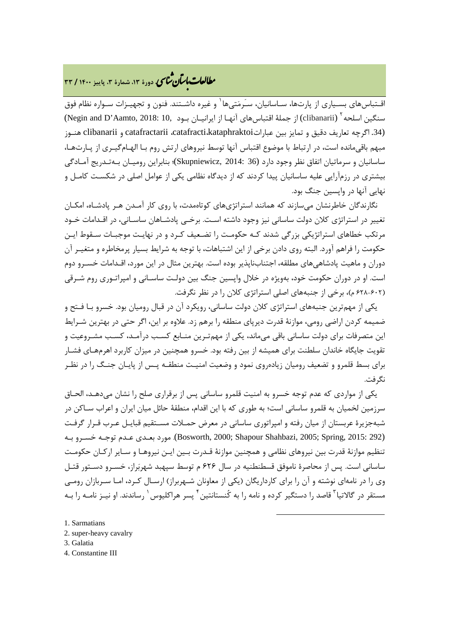# **، دورة ،13 شمارة ،3 پاییز <sup>1400</sup> / <sup>33</sup>** �نا� �طا ی �عات با�تان

اقـتباسهای بسـیاری از پارتها، سـاسانیان، سـَرمَتیها <sup>۱</sup> و غیره داشـتند. فنون و تجهیـزات سـواره نظام فوق (clibanarii) (از جملۀ اقتباسهاي آنهـا از ایرانیــان بـود 10, Negin and D'Aamto, [2](#page-10-1)018: 10, سنگین اسلحه (.34 اگرچه تعاریف دقیق و تمایز بین عباراتkataphraktoi،catafracti، catafractarii و clibanarii هنـوز مبهم باقیمانده است، در ارتباط با موضوع اقتباس آنها توسط نیروهاي ارتش روم بـا الهـام گیـري از پـارت هـا، ساسانیان و سرماتیان اتفاق نظر وجود دارد (36 2014: ,Skupniewicz(؛ بنابراین رومیـان بـه تـدریج آمـادگی بیشتري در رزمآرایی علیه ساسانیان پیدا کردند که از دیدگاه نظامی یکی از عوامل اصلی در شکسـت کامـل و نهایی آنها در واپسین جنگ بود.

نگارندگان خاطرنشان میسازند که همانند استراتژيهاي کوتاهمدت، با روي کار آمـدن هـر پادشـاه، امکـان تغییر در استراتژي کلان دولت ساسانی نیز وجود داشته اسـت. برخـی پادشـاهان ساسـانی، در اقـدامات خـود مرتکب خطاهاي استراتژیکی بزرگی شدند کـه حکومـت را تضـعیف کـرد و در نهایـت موجبـات سـقوط ایـن حکومت را فراهم آورد. البته روي دادن برخی از این اشتباهات، با توجه به شرایط بسیار پرمخاطره و متغیـر آن دوران و ماهیت پادشاهیهاي مطلقه، اجتنابناپذیر بوده است. بهترین مثال در این مورد، اقـدامات خسـرو دو م است. او در دوران حکومت خود، بهویژه در خلال واپسین جنگ بین دولـت ساسـانی و امپراتـوري روم شـرقی (628-602 م)، برخی از جنبههاي اصلی استراتژي کلان را در نظر نگرفت.

یکی از مهمترین جنبههاي استراتژي کلان دولت ساسانی، رویکرد آن در قبال رومیان بود. خسرو بـا فـتح و ضمیمه کردن اراضی رومی، موازنۀ قدرت دیرپاي منطقه را برهم زد. علاوه بر این، اگر حتی در بهترین شـرایط این متصرفات براي دولت ساسانی باقی میماند، یکی از مهمتـرین منـابع کسـب درآمـد، کسـب مشـروعیت و تقویت جایگاه خاندان سلطنت براي همیشه از بین رفته بود. خسرو همچنین در میزان کاربرد اهرمهـاي فشـار براي بسط قلمرو و تضعیف رومیان زیادهروي نمود و وضعیت امنیـت منطقـه پـس از پایـان جنـگ را در نظـر نگرفت.

یکی از مواردي که عدم توجه خسرو به امنیت قلمرو ساسانی پس از برقراري صلح را نشان میدهـد، الحـاق سرزمین لخمیان به قلمرو ساسانی است؛ به طوري که با این اقدام، منطقۀ حائل میان ایران و اعراب سـاکن در شبهجزیرة عربستان از میان رفته و امپراتوري ساسانی در معرض حمـلات مسـتقیم قبایـل عـرب قـرار گرفـت (292 2015: ,Spring; 2005 ,Shahbazi Shapour; 2000 ,Bosworth(. مورد بعـدي عـدم توجـه خسـرو بـه تنظیم موازنۀ قدرت بین نیروهاي نظامی و همچنین موازنۀ قـدرت بـ ین ایـن نیروهـا و سـایر ارکـان حکومـت ساسانی است. پس از محاصرة ناموفق قسطنطنیه در سال 626 م توسط سپهبد شهربراز، خسـرو دسـتور قتـل وي را در نامهاي نوشته و آن را براي کارداریگان (یکی از معاونان شـهربراز) ارسـال کـرد ، امـا سـرب ازان رومـی مستقر در گالاتیا<sup>۳</sup> قاصد را دستگیر کرده و نامه را به کُنستانتین <sup>۶</sup> پسر هراکلیوس <sup>۱</sup> رساندند. او نیـز نامــه را بــه

**.** 

- <span id="page-10-4"></span>[1](#page-10-4). Sarmatians
- <span id="page-10-1"></span><span id="page-10-0"></span>2. super-heavy cavalry
- <span id="page-10-2"></span>3. Galatia
- <span id="page-10-3"></span>4. Constantine III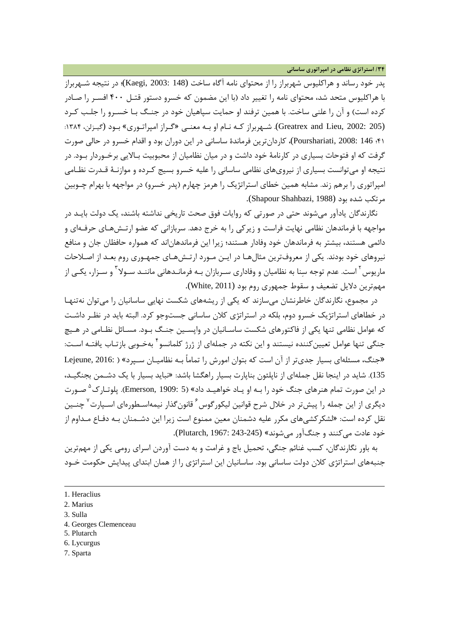**/34 استراتژي نظامی در امپراتوري ساسانی**

پدر خود رساند و هراکلیوس شهربراز را از محتواي نامه آگاه ساخت (148 2003: ,Kaegi(؛ در نتیجه شـهربراز با هراکلیوس متحد شد، محتواي نامه را تغییر داد (با این مضمون که خسرو دستور قتـل 400 افسـر را صـادر کرده است) و آن را علنی ساخت. با همین ترفند او حمایت سپاهیان خود در جنـگ بـا خسـرو را جلـب کـرد (205 :Greatrex and Lieu, 2002). شـهربراز کـه نـام او بـه معنـی «گـراز امپراتـوری» بـود (گیـزلن، ۱۳۸۴: 41؛ 146 2008: ,Pourshariati(، کاردانترین فرماندة ساسانی در این دوران بود و اقدام خسرو در حالی صورت گرفت که او فتوحات بسیاري در کارنامۀ خود داشت و در میان نظامیان از محبوبیت بـالایی برخـوردار بـود. در نتیجه او میتوانست بسیاري از نیرويهاي نظامی ساسانی را علیه خسرو بسیج کـرده و مو ازنـۀ قـدرت نظـامی امپراتوري را برهم زند. مشابه همین خطاي استراتژیک را هرمز چهارم (پدر خسرو) در مواجهه با بهرام چـوبین مرتکب شده بود (1988 ,Shapour Shahbazi).

نگارندگان یادآور میشوند حتی در صورتی که روایات فوق صحت تاریخی نداشته باشند، یک دولت بایـد در مواجهه با فرماندهان نظامی نهایت فراست و زیرکی را به خرج دهد. سربازانی که عضو ارتـش هـاي حرفـه اي و دائمی هستند، بیشتر به فرماندهان خود وفادار هستند؛ زیرا این فرماندهاناند که همواره حافظان جان و منافع نیروهاي خود بودند. یکی از معروفترین مثالهـا در ایـن مـورد ارتـش هـاي جمهـوري روم بعـد از اصـلاحات ماریوس <sup>۲</sup> است. عدم توجه سنا به نظامیان و وفاداری سـربازان بـه فرمانـدهانی ماننـد سـولا <sup>۲</sup> و سـزار، یکـی از مهمترین دلایل تضعیف و سقوط جمهوري روم بود (2011 ,White(.

در مجموع، نگارندگان خاطرنشان میسازند که یکی از ریشههاي شکست نهایی ساسانیان را میتوان نهتنهـا در خطاهاي استراتژیک خسرو دوم، بلکه در استراتژي کلان ساسانی جستوجو کرد. البته باید در نظـر داشـت که عوامل نظامی تنها یکی از فاکتورهاي شکست ساسـانیان در واپسـین جنـگ بـود . مسـائل نظـامی در هـیچ جنگی تنها عوامل تعیینکننده نیستند و این نکته در جملهای از ژرژ کلمانسو <sup>۲</sup> بهخـوبی بازتـاب یافتـه اسـت: «جنگ، مسئلهاي بسیار جديتر از آن است که بتوان امورش را تماماً بـه نظامیـان سـپرد » ( 2016: ,Lejeune 135). شاید در اینجا نقل جملهاي از ناپلئون بناپارت بسیار راهگشا باشد: «نباید بسیار با یک دشـمن بجنگیـد، در این صورت تمام هنرهای جنگ خود را بـه او یـاد خواهیـد داد» ([5](#page-11-3) :Emerson, 1909). پلوتـار ک<sup>۵</sup>صـورت دیگری از این جمله را پیشتر در خلال شرح قوانین لیکورگوس ٔ قانونگذار نیمهاسـطورهای اسـپارت<sup>۷</sup> چنــین نقل کرده است: «لشکرکشیهاي مکرر علیه دشمنان معین ممنوع است زیرا این دشـمنان بـه دفـاع مـدا وم از خود عادت میکنند و جنگآور میشوند» (243-245 1967: ,Plutarch(.

به باور نگارندگان، کسب غنائم جنگی، تحمیل باج و غرامت و به دست آوردن اسراي رومی یکی از مهمترین جنبههاي استراتژي کلان دولت ساسانی بود. ساسانیان این استراتژي را از همان ابتداي پیدایش حکومت خـود

<span id="page-11-1"></span>3. Sulla

<u>.</u>

- <span id="page-11-2"></span>4. Georges Clemenceau
- <span id="page-11-3"></span>5. Plutarch
- <span id="page-11-4"></span>6. Lycurgus
- <span id="page-11-5"></span>7. Sparta

<sup>1.</sup> Heraclius

<span id="page-11-0"></span><sup>2.</sup> Marius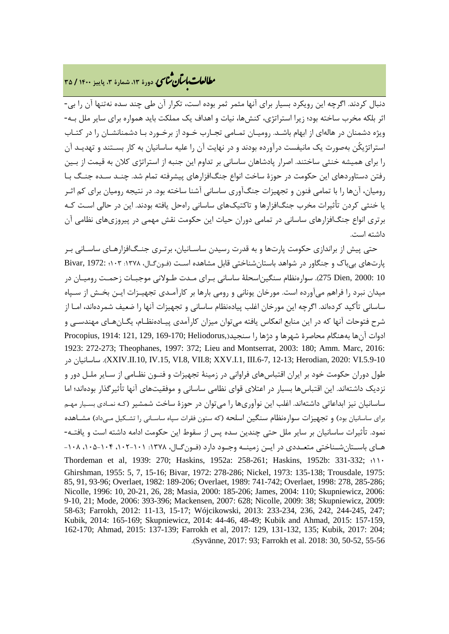# **، دورة ،13 شمارة ،3 پاییز <sup>1400</sup> / <sup>35</sup>** �نا� �طا ی �عات با�تان

دنبال کردند. اگرچه این رویکرد بسیار براي آنها مثمر ثمر بوده است، تکرار آن طی چند سده نهتنها آن را بی- اثر بلکه مخرب ساخته بود؛ زیرا استراتژي، کنشها، نیات و اهداف یک مملکت باید همواره براي سایر ملل بـه - ویژه دشمنان در هالهاي از ابهام باشـد. رومیـان تمـامی تجـارب خـود از برخـورد بـا دشمنانشـان را در کتـاب استراتژیکُن بهصورت یک مانیفست درآورده بودند و در نهایت آن را علیه ساسانیان به کار بسـتند و تهدیـد آن را براي همیشه خنثی ساختند. اصرار پادشاهان ساسانی بر تداوم این جنبه از استراتژي کلان به قیمت از بـ ین رفتن دستاوردهاي این حکومت در حوزة ساخت انواع جنگافزارهاي پیشرفته تمام شد. چنـد سـده جنـگ بـا رومیان، آنها را با تمامی فنون و تجهیزات جنگآوري ساسانی آشنا ساخته بود. در نتیجه رومیان براي کم اثـر یا خنثی کردن تأثیرات مخرب جنگافزارها و تاکتیکهاي ساسانی راهحل یافته بودند. این در حالی اسـت کـه برتري انواع جنگافزارهاي ساسانی در تمامی دوران حیات این حکومت نقش مهمی در پیروزيهاي نظامی آن داشته است.

حتی پیش از براندازي حکومت پارتها و به قدرت رسیدن ساسـانیان، برتـري جنـگ افزارهـا ي ساسـانی بـر پارتهاي بیباك و جنگاور در شواهد باستانشناختی قابل مشاهده اسـت (فـون گـال، :1378 103؛ 1972: ,Bivar 10 2000: ,Dien 275(. سوارهنظام سنگیناسحلۀ ساسانی بـراي مـدت طـولانی موجبـات زحمـت رومیـان در میدان نبرد را فراهم میآورده است. مورخان یونانی و رومی بارها بر کارآمـدي تجهیـ زات ایـن بخـش از سـپاه ساسانی تأکید کردهاند. اگرچه این مورخان اغلب پیادهنظام ساسانی و تجهیزات آنها را ضعیف شمردهاند، امـا از شرح فتوحات آنها که در این منابع انعکاس یافته میتوان میزان کارآمدي پیـاده نظـام، یگـان هـاي مهندسـی و ادوات آنها بههنگام محاصرة شهرها و دژها را سنجید( ,Heliodorus; 169-170 129, 121, 1914: ,Procopius 1923: 272-273; Theophanes, 1997: 372; Lieu and Montserrat, 2003: 180; Amm. Marc, 2016: در ساسانیان .)XXIV.II.10, IV.15, VI.8, VII.8; XXV.I.1, III.6-7, 12-13; Herodian, 2020: VI.5.9-10 طول دوران حکومت خود بر ایران اقتباسهاي فراوانی در زمینۀ تجهیزات و فنـون نظـامی از سـایر ملـل دور و نزدیک داشتهاند. این اقتباسها بسیار در اعتلاي قواي نظامی ساسانی و موفقیتهاي آنها تأثیرگذار بودهاند؛ اما ساسانیان نیز ابداعاتی داشتهاند. اغلب این نوآوريها را میتوان در حوزة ساخت شمشیر (کـه نمـادي بسـیار مهـم براي ساسانیان بود) و تجهیزات سوارهنظام سنگین اسلحه (که ستون فقرات سپاه ساسـانی را تشـکیل مـی داد) مشـاهده نمود. تأثیرات ساسانیان بر سایر ملل حتی چندین سده پس از سقوط این حکومت ادامه داشته است و یافتـه - هـاي باسـتانشـناختی متعـددي در ایـن زمینـه وجـود دارد (فـونگـال، :1378 ،102-101 ،105-104 -108 Thordeman et al, 1939: 270; Haskins, 1952a: 258-261; Haskins, 1952b: 331-332; ؛110 Ghirshman, 1955: 5, 7, 15-16; Bivar, 1972: 278-286; Nickel, 1973: 135-138; Trousdale, 1975: 85, 91, 93-96; Overlaet, 1982: 189-206; Overlaet, 1989: 741-742; Overlaet, 1998: 278, 285-286; Nicolle, 1996: 10, 20-21, 26, 28; Masia, 2000: 185-206; James, 2004: 110; Skupniewicz, 2006: 9-10, 21; Mode, 2006: 393-396; Mackensen, 2007: 628; Nicolle, 2009: 38; Skupniewicz, 2009: 58-63; Farrokh, 2012: 11-13, 15-17; Wójcikowski, 2013: 233-234, 236, 242, 244-245, 247; Kubik, 2014: 165-169; Skupniewicz, 2014: 44-46, 48-49; Kubik and Ahmad, 2015: 157-159, 162-170; Ahmad, 2015: 137-139; Farrokh et al, 2017: 129, 131-132, 135; Kubik, 2017: 204; .(Syvänne, 2017: 93; Farrokh et al. 2018: 30, 50-52, 55-56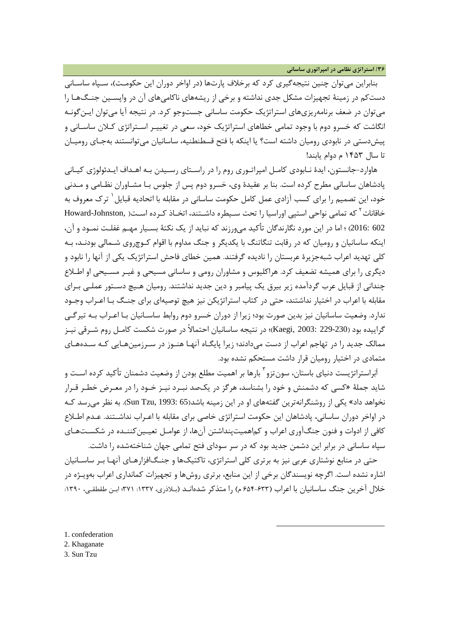بنابراین میتوان چنین نتیجهگیري کرد که برخلاف پارتها (در اواخر دوران این حکومـت) ، سـپاه ساسـانی دستکم در زمینۀ تجهیزات مشکل جدي نداشته و برخی از ریشههاي ناکامیهاي آن در واپسـین جنـگ هـا را میتوان در ضعف برنامهریزيهاي استراتژیک حکومت ساسانی جستوجو کرد. در نتیجه آیا میتوان ایـن گونـه انگاشت که خسرو دوم با وجود تمامی خطاهاي استراتژیک خود، سعی در تغییـر اسـتراتژي کـلان ساسـانی و پیشدستی در نابودي رومیان داشته است؟ یا اینکه با فتح قسطنطنیه، ساسانیان میتوانستند بهجـاي رومیـان تا سال 1453 م دوام یابند!

هاوارد-جانستون، ایدة نـابودي کامـل امپراتـوري روم را در راسـتاي رسـیدن بـه اهـداف ایـدئو لوژي کیـانی پادشاهان ساسانی مطرح کرده است. بنا بر عقیدة وي، خسرو دوم پس از جلوس بـا مشـاور ان نظـامی و مـدنی خود، این تصمیم را برای کسب آزادی عمل کامل حکومت ساسانی در مقابله با اتحادیه قبایل <sup>۱</sup> ترک معروف به خاقانات<sup>۲</sup> که تمامی نواحی استپی اوراسیا را تحت سـیطره داشـتند، اتخـاذ کـرده اسـت( Howard-Johnston, 602 2016:) ؛ اما در این مورد نگارندگان تأکید میورزند که نباید از یک نکتۀ بسـیار مهـم غفلـت نمـود و آن، اینکه ساسانیان و رومیان که در رقابت تنگاتنگ با یکدیگر و جنگ مداوم با اقوام کـوچ روي شـمالی بودنـد، بـه کلی تهدید اعراب شبهجزیرة عربستان را نادیده گرفتند. همین خطاي فاحش استراتژیک یکی از آنها را نابود و دیگري را براي همیشه تضعیف کرد. هراکلیوس و مشاوران رومی و ساسانی مسیحی و غیـ ر مسـ یحی او اطـلاع چندانی از قبایل عرب گردآمده زیر بیرق یک پیامبر و دین جدید نداشتند. رومیان هـیچ دسـتور عملـی بـراي مقابله با اعراب در اختیار نداشتند، حتی در کتاب استراتژیکن نیز هیچ توصیهاي براي جنـگ بـا اعـراب وجـود ندارد. وضعیت ساسانیان نیز بدین صورت بود؛ زیرا از دوران خسرو دوم روابط ساسـانیان بـا اعـراب بـه تیرگـی گراییده بود (239-229 :Kaegi, 2003)؛ در نتیجه ساسانیان احتمالاً در صورت شکست کامـل روم شـرقی نیـز ممالک جدید را در تهاجم اعراب از دست میدادند؛ زیرا پایگـاه آنهـا هنـوز در سـرزمین هـایی کـه سـده هـاي متمادي در اختیار رومیان قرار داشت مستحکم نشده بود.

آبراستراتژیست دنیای باستان، سون تزو <sup>۱</sup> بارها بر اهمیت مطلع بودن از وضعیت دشمنان تأکید کرده اسـت و شاید جملۀ «کسی که دشمنش و خود را بشناسد، هرگز در یکصد نبـرد نیـز خـود را در معـرض خطـر قـرار نخواهد داد» یکی از روشنگرانهترین گفتههای او در این زمینه باشد(65 :Sun Tzu, 1993). به نظر می رسد کـه در اواخر دوران ساسانی، پادشاهان این حکومت استراتژي خاصی براي مقابله با اعـراب نداشـتند. عـدم اطـلاع کافی از ادوات و فنون جنگآوري اعراب و کماهمیتپنداشتن آنها، از عوامـل تعیـین کننـده در شکسـت هـاي سپاه ساسانی در برابر این دشمن جدید بود که در سر سوداي فتح تمامی جهان شناختهشده را داشت.

حتی در منابع نوشتاري عربی نیز به برتري کلی استراتژي، تاکتیکها و جنـگ افزارهـاي آنهـا بـر ساسـانیان اشاره نشده است. اگرچه نویسندگان برخی از این منابع، برتري روشها و تجهیزات کمانداري اعراب بهویـژه در خلال آخرین جنگ ساسانیان با اعراب (۶۳۳-۶۵۴ م) را متذکر شدهانـد (بـلاذری، ۱۳۲۷: ۳۷۱؛ ابـن طقطقـی، ۱۳۹۰:

1

<span id="page-13-0"></span>1. confederation

<span id="page-13-1"></span>2. Khaganate

<span id="page-13-2"></span>3. Sun Tzu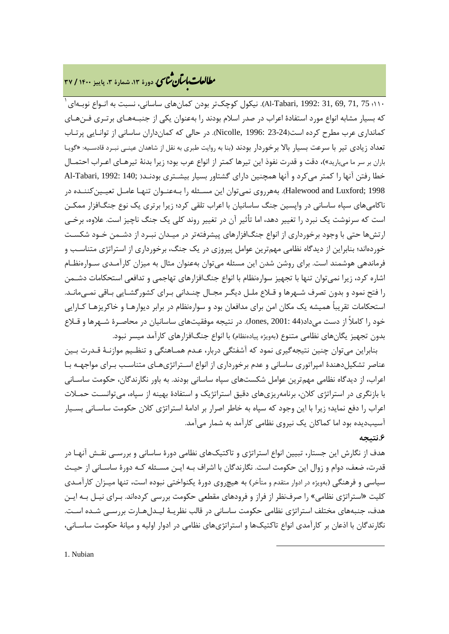## **، دورة ،13 شمارة ،3 پاییز <sup>1400</sup> / <sup>37</sup>** �نا� �طا ی �عات با�تان

 $^{+}$ دا؛ 75 ,[1](#page-14-0)99 .31, 69, 41-Tabari, 1992: نیکول کوچکتر بودن کمانهای ساسانی، نسبت به انـواع نوبـهای  $^{+}$ که بسیار مشابه انواع مورد استفادة اعراب در صدر اسلام بودند را بهعنوان یکی از جنبـه هـاي برتـري فـن هـا ي کمانداري عرب مطرح کرده است(23-24 1996: ,Nicolle(. در حالی که کمانداران ساسانی از توانـایی پرتـاب تعداد زیادي تیر با سرعت بسیار بالا برخوردار بودند (بنا به روایت طبري به نقل از شاهدان عینـی نبـرد قادسـیه: «گویـا باران بر سر ما میبارید»)، دقت و قدرت نفوذ این تیرها کمتر از انواع عرب بود؛ زیرا بدنۀ تیرهـاي اعـراب احتمـال خطا رفتن آنها را کمتر میکرد و آنها همچنین داراي گشتاور بسیار بیشـتري بودنـد( ;Al-Tabari, 1992: 140 1998 ;Luxford and Halewood(. بههرروي نمیتوان این مسـئله را بـه عنـوان تنهـا عامـل تعیـین کننـده در ناکامیهاي سپاه ساسانی در واپسین جنگ ساسانیان با اعراب تلقی کرد؛ زیرا برتري یک نوع جنگافزار ممکـن است که سرنوشت یک نبرد را تغییر دهد، اما تأثیر آن در تغییر روند کلی یک جنگ ناچیز است. علاوه، برخـی ارتشها حتی با وجود برخورداري از انواع جنگافزارهاي پیشرفتهتر در میـدان نبـرد از دشـمن خـود شکسـت خوردهاند؛ بنابراین از دیدگاه نظامی مهمترین عوامل پیروزي در یک جنگ، برخورداري از استراتژي متناسـب و فرماندهی هوشمند است. براي روشن شدن این مسئله میتوان بهعنوان مثال به میزان کارآمـدي سـواره نظـام اشاره کرد، زیرا نمیتوان تنها با تجهیز سوارهنظام با انواع جنگافزارهاي تهاجمی و تدافعی استحکامات دشـمن را فتح نمود و بدون تصرف شـهرها و قـلاع ملـل دیگـر مجـال چنـدانی بـراي کشورگشـایی بـاقی نمـی مانـد. استحکامات تقریباً همیشه یک مکان امن براي مدافعان بود و سوارهنظام در برابر دیوارهـا و خاکریزهـا کـارایی خود را کاملاً از دست میداد(44 2001: ,Jones(. در نتیجه موفقیتهاي ساسانیان در محاصـرة شـهرها و قـلاع بدون تجهیز یگانهاي نظامی متنوع (بهویژه پیادهنظام) با انواع جنگافزارهاي کارآمد میسر نبود.

بنابراین میتوان چنین نتیجهگیري نمود که آشفتگی دربار، عـدم همـاهنگی و تنظـیم موازنـۀ قـدرت بـین عناصر تشکیلدهندة امپراتوري ساسانی و عدم برخورداري از انواع اسـتراتژي هـاي متناسـب بـراي مواجهـه بـا اعراب، از دیدگاه نظامی مهمترین عوامل شکستهاي سپاه ساسانی بودند. به باور نگارندگان، حکومت ساسـانی با بازنگري در استراتژي کلان، برنامهریزيهاي دقیق استراتژیک و استفادة بهینه از سپاه، میتوانسـت حمـلات اعراب را دفع نماید؛ زیرا با این وجود که سپاه به خاطر اصرار بر ادامۀ استراتژي کلان حکومت ساسـانی بسـیار آسیبدیده بود اما کماکان یک نیروي نظامی کارآمد به شمار میآمد.

### **.6نتیجه**

<span id="page-14-0"></span>هدف از نگارش این جستار، تبیین انواع استراتژي و تاکتیکهاي نظامی دورة ساسانی و بررسـی نقـش آن هـا در قدرت، ضعف، دوام و زوال این حکومت است. نگارندگان با اشراف بـه ایـن مسـئله کـه دورة ساسـانی از حیـث سیاسی و فرهنگی (بهویژه در ادوار متقدم و متأخر) به هیچروي دورة یکنواختی نبوده است، تنها میـزان کارآ مـد ي کلیت «استراتژی نظامی» را صرفنظر از فراز و فرودهای مقطعی حکومت بررسی کردهاند. بـرای نیـل بـه ایـن هدف، جنبههاي مختلف استراتژي نظامی حکومت ساسانی در قالب نظریـۀ لیـ دلهـارت بررسـی شـده اسـت . نگارندگان با اذعان بر کارآمدي انواع تاکتیکها و استراتژيهاي نظامی در ادوار اولیه و میانۀ حکومت ساسـانی،

1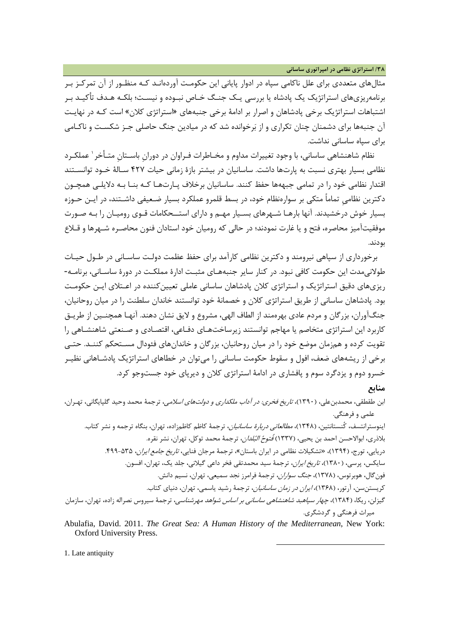**/38 استراتژي نظامی در امپراتوري ساسانی**

مثالهاي متعددي براي علل ناکامی سپاه در ادوار پایانی این حکومـت آوردهانـد کـ ه منظـور از آن تمرکـز بـر برنامهریزيهاي استراتژیک یک پادشاه یا بررسی یـک جنـگ خـاص نبـوده و نیسـت ؛ بلکـه هـدف تأکیـد بـر اشتباهات استراتژیک برخی پادشاهان و اصرار بر ادامۀ برخی جنبههای «استراتژی کلان» است کـه در نهایـت آن جنبهها براي دشمنان چنان تکراري و از برخوانده شد که در میادین جنگ حاصلی جـز شکسـت و ناکـامی براي سپاه ساسانی نداشت.

نظام شاهنشاهی ساسانی، با وجود تغییرات مداوم و مخـاطرات فـراوان در دوران باسـتان متـأخر ٰ عملكـرد نظامی بسیار بهتري نسبت به پارتها داشت. ساسانیان در بیشتر بازة زمانی حیات 427 سـالۀ خـود توانسـتند اقتدار نظامی خود را در تمامی جبههها حفظ کنند. ساسانیان برخلاف پـارت هـا کـه بنـا بـه دلایلـی همچـون دکترین نظامیِ تماماً متکی بر سوارهنظام خود، در بسط قلمرو عملکرد بسیار ضـعیفی داشـتند، در ایـن حـوزه بسیار خوش درخشیدند. آنها بارهـا شـهرهاي بسـیار مهـم و داراي استـ ـحکامات قـوي رومیـان را بـه صـورت موفقیتآمیز محاصره، فتح و یا غارت نمودند؛ در حالی که رومیان خود استادان فنون محاصـره شـهرها و قـلاع بودند.

برخورداري از سپاهی نیرومند و دکترین نظامی کارآمد براي حفظ عظمت دولـت ساسـان ی در طـول حیـات طولانی مدت این حکومت کافی نبود. در کنار سایر جنبههـای مثبـت ادارهٔ مملکـت در دورهٔ ساسـانی، برنامـه-ریزيهاي دقیق استراتژیک و استراتژي کلان پادشاهان ساسانی عاملی تعیینکننده در اعـتلاي ایـن حکومـت بود. پادشاهان ساسانی از طریق استراتژي کلان و خصمانۀ خود توانستند خاندان سلطنت را در میان روحانیان، جنگآوران، بزرگان و مردم عادي بهرهمند از الطاف الهی، مشروع و لایق نشان دهند. آنهـا همچنـین از طریـق کاربرد این استراتژي متخاصم یا مهاجم توانستند زیرساختهـاي دفـاعی، اقتصـادي و صـنعتی شاهنشـاهی را تقویت کرده و همزمان موضع خود را در میان روحانیان، بزرگان و خاندانهاي فئودال مسـتحکم کننـد. حتـی برخی از ریشههاي ضعف، افول و سقوط حکومت ساسانی را میتوان در خطاهاي استراتژیک پادشـاهانی نظیـر خسرو دوم و یزدگرد سوم و پافشاري در ادامۀ استراتژي کلان و دیرپاي خود جستوجو کرد. **منابع**

ابن طقطقی، محمدبنعلی، (1390)، تاریخ فخري: در آداب ملکداري و دولتهاي اسلامی، ترجمۀ محمد وحید گلپایگانی، تهـران ، علمی و فرهنگی.

اینوسترانتسف، کُنستانتین، (1348)، مطالعاتی دربارة ساسانیان، ترجمۀ کاظم کاظمزاده، تهران، بنگاه ترجمه و نشر کتاب. بلاذري، ابوالاحسن احمد بن يحيي، (١٣٣٧) *فُتوحُ البُلدان*، ترجمۀ محمد توکل، تهران، نشر نقره. دریایی، تورج، (۱۳۹۴)، «تشکیلات نظامی در ایران باستان»، ترجمۀ مرجان فنایی، *تاریخ جامع ایران*، ۲۵۵-۴۹۹. سایکس، پرسی، (1380)، تاریخ ایران، ترجمۀ سید محمدتقی فخر داعی گیلانی، جلد یک، تهران، افسون. فونگال، هوبرتوس، (1378)، جنگ سواران، ترجمۀ فرامرز نجد سمیعی، تهران، نسیم دانش. کریستنسن، آرتور، (1368)، ایران در زمان ساسانیان، ترجمۀ رشید یاسمی، تهران، دنیاي کتاب. گیزلن، ریکا، (1384)، چهار سپاهبد شاهنشاهی ساسانی بر اساس شواهد مهرشناسی، ترجمۀ سیروس نصراله زاده، تهران، سازمان

- میراث فرهنگی و گردشگري.
- Abulafia, David. 2011. *The Great Sea: A Human History of the Mediterranean*, New York: Oxford University Press.

1

1. Late antiquity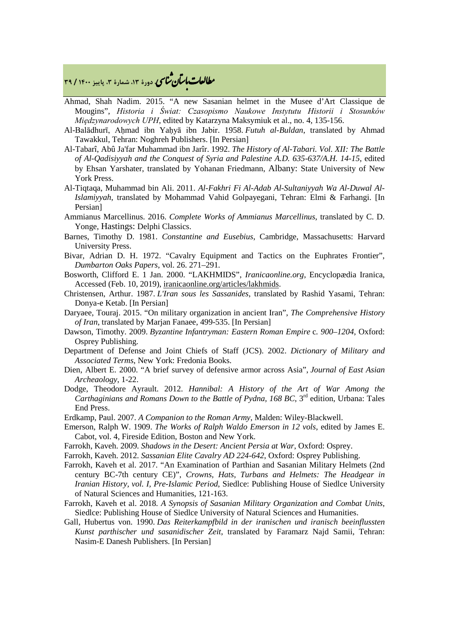## **، دورة ،13 شمارة ،3 پاییز <sup>1400</sup> / <sup>39</sup>** �نا� �طا ی �عات با�تان

- Ahmad, Shah Nadim. 2015. "A new Sasanian helmet in the Musee d'Art Classique de Mougins", *Historia i Świat: Czasopismo Naukowe Instytutu Historii i Stosunków Międzynarodowych UPH*, edited by Katarzyna Maksymiuk et al., no. 4, 135-156.
- Al-Balādhurī, Aḥmad ibn Yaḥyā ibn Jabir. 1958. *Futuh al-Buldan*, translated by Ahmad Tawakkul, Tehran: Noghreh Publishers. [In Persian]
- Al-Tabarî, Abû Ja'far Muhammad ibn Jarîr. 1992. *The History of Al-Tabari. Vol. XII: The Battle of Al-Qadisiyyah and the Conquest of Syria and Palestine A.D. 635-637/A.H. 14-15*, edited by Ehsan Yarshater, translated by Yohanan Friedmann, Albany: State University of New York Press.
- Al-Tiqtaqa, Muhammad bin Ali. 2011. *Al-Fakhri Fi Al-Adab Al-Sultaniyyah Wa Al-Duwal Al-Islamiyyah*, translated by Mohammad Vahid Golpayegani, Tehran: Elmi & Farhangi. [In Persian]
- Ammianus Marcellinus. 2016. *Complete Works of Ammianus Marcellinus*, translated by C. D. Yonge, Hastings: Delphi Classics.
- Barnes, Timothy D. 1981. *Constantine and Eusebius*, Cambridge, Massachusetts: Harvard University Press.
- Bivar, Adrian D. H. 1972. "Cavalry Equipment and Tactics on the Euphrates Frontier", *Dumbarton Oaks Papers*, vol. 26. 271–291.
- Bosworth, Clifford E. 1 Jan. 2000. "LAKHMIDS", *Iranicaonline.org*, Encyclopædia Iranica, Accessed (Feb. 10, 2019), iranicaonline.org/articles/lakhmids.
- Christensen, Arthur. 1987. *L'Iran sous les Sassanides*, translated by Rashid Yasami, Tehran: Donya-e Ketab. [In Persian]
- Daryaee, Touraj. 2015. "On military organization in ancient Iran", *The Comprehensive History of Iran*, translated by Marjan Fanaee, 499-535. [In Persian]
- Dawson, Timothy. 2009. *Byzantine Infantryman: Eastern Roman Empire* c*. 900–1204*, Oxford: Osprey Publishing.
- Department of Defense and Joint Chiefs of Staff (JCS). 2002. *Dictionary of Military and Associated Terms*, New York: Fredonia Books.
- Dien, Albert E. 2000. "A brief survey of defensive armor across Asia", *Journal of East Asian Archeaology*, 1-22.
- Dodge, Theodore Ayrault. 2012. *Hannibal: A History of the Art of War Among the Carthaginians and Romans Down to the Battle of Pydna, 168 BC, 3<sup>rd</sup> edition, Urbana: Tales* End Press.
- Erdkamp, Paul. 2007. *A Companion to the Roman Army*, Malden: Wiley-Blackwell.
- Emerson, Ralph W. 1909. *The Works of Ralph Waldo Emerson in 12 vols*, edited by James E. Cabot, vol. 4, Fireside Edition, Boston and New York.
- Farrokh, Kaveh. 2009. *Shadows in the Desert: Ancient Persia at War*, Oxford: Osprey.
- Farrokh, Kaveh. 2012. *Sassanian Elite Cavalry AD 224-642*, Oxford: Osprey Publishing.
- Farrokh, Kaveh et al. 2017. "An Examination of Parthian and Sasanian Military Helmets (2nd century BC-7th century CE)", *Crowns, Hats, Turbans and Helmets: The Headgear in Iranian History, vol. I, Pre-Islamic Period*, Siedlce: Publishing House of Siedlce University of Natural Sciences and Humanities, 121-163.
- Farrokh, Kaveh et al. 2018. *A Synopsis of Sasanian Military Organization and Combat Units*, Siedlce: Publishing House of Siedlce University of Natural Sciences and Humanities.
- Gall, Hubertus von. 1990. *Das Reiterkampfbild in der iranischen und iranisch beeinflussten Kunst parthischer und sasanidischer Zeit*, translated by Faramarz Najd Samii, Tehran: Nasim-E Danesh Publishers. [In Persian]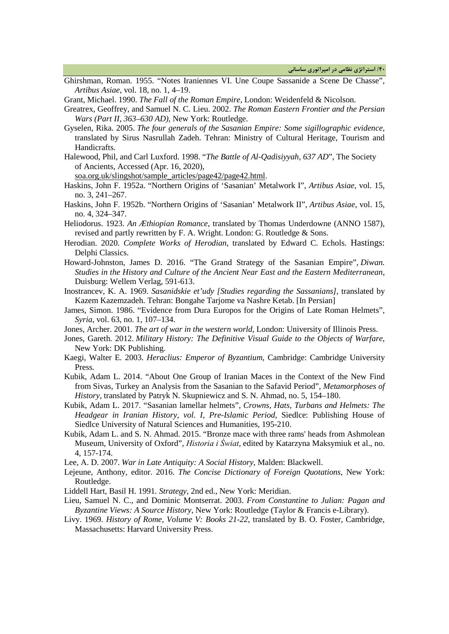- Ghirshman, Roman. 1955. "Notes Iraniennes VI. Une Coupe Sassanide a Scene De Chasse", *Artibus Asiae*, vol. 18, no. 1, 4–19.
- Grant, Michael. 1990. *The Fall of the Roman Empire*, London: Weidenfeld & Nicolson.

Greatrex, Geoffrey, and Samuel N. C. Lieu. 2002. *The Roman Eastern Frontier and the Persian Wars (Part II, 363–630 AD)*, New York: Routledge.

- Gyselen, Rika. 2005. *The four generals of the Sasanian Empire: Some sigillographic evidence*, translated by Sirus Nasrullah Zadeh. Tehran: Ministry of Cultural Heritage, Tourism and Handicrafts.
- Halewood, Phil, and Carl Luxford. 1998. "*The Battle of Al-Qadisiyyah, 637 AD*", The Society of Ancients, Accessed (Apr. 16, 2020),

soa.org.uk/slingshot/sample\_articles/page42/page42.html.

- Haskins, John F. 1952a. "Northern Origins of 'Sasanian' Metalwork I", *Artibus Asiae*, vol. 15, no. 3, 241–267.
- Haskins, John F. 1952b. "Northern Origins of 'Sasanian' Metalwork II", *Artibus Asiae*, vol. 15, no. 4, 324–347.
- Heliodorus. 1923. *An Æthiopian Romance*, translated by Thomas Underdowne (ANNO 1587), revised and partly rewritten by F. A. Wright. London: G. Routledge & Sons.
- Herodian. 2020. *Complete Works of Herodian*, translated by Edward C. Echols. Hastings: Delphi Classics.
- Howard-Johnston, James D. 2016. "The Grand Strategy of the Sasanian Empire", *Diwan. Studies in the History and Culture of the Ancient Near East and the Eastern Mediterranean,*  Duisburg: Wellem Verlag, 591-613.
- Inostrancev, K. A. 1969. *Sasanidskie et'udy [Studies regarding the Sassanians]*, translated by Kazem Kazemzadeh. Tehran: Bongahe Tarjome va Nashre Ketab. [In Persian]
- James, Simon. 1986. "Evidence from Dura Europos for the Origins of Late Roman Helmets", *Syria*, vol. 63, no. 1, 107–134.
- Jones, Archer. 2001. *The art of war in the western world*, London: University of Illinois Press.
- Jones, Gareth. 2012. *Military History: The Definitive Visual Guide to the Objects of Warfare*, New York: DK Publishing.
- Kaegi, Walter E. 2003. *Heraclius: Emperor of Byzantium*, Cambridge: Cambridge University Press.
- Kubik, Adam L. 2014. "About One Group of Iranian Maces in the Context of the New Find from Sivas, Turkey an Analysis from the Sasanian to the Safavid Period", *Metamorphoses of History*, translated by Patryk N. Skupniewicz and S. N. Ahmad, no. 5, 154–180.
- Kubik, Adam L. 2017. "Sasanian lamellar helmets", *Crowns, Hats, Turbans and Helmets: The Headgear in Iranian History, vol. I, Pre-Islamic Period*, Siedlce: Publishing House of Siedlce University of Natural Sciences and Humanities, 195-210.
- Kubik, Adam L. and S. N. Ahmad. 2015. "Bronze mace with three rams' heads from Ashmolean Museum, University of Oxford", *Historia i Świat*, edited by Katarzyna Maksymiuk et al., no. 4, 157-174.
- Lee, A. D. 2007. *War in Late Antiquity: A Social History*, Malden: Blackwell.
- Lejeune, Anthony, editor. 2016. *The Concise Dictionary of Foreign Quotations*, New York: Routledge.
- Liddell Hart, Basil H. 1991. *Strategy*, 2nd ed., New York: Meridian.
- Lieu, Samuel N. C., and Dominic Montserrat. 2003. *From Constantine to Julian: Pagan and Byzantine Views: A Source History*, New York: Routledge (Taylor & Francis e-Library).
- Livy. 1969. *History of Rome, Volume V: Books 21-22*, translated by B. O. Foster, Cambridge, Massachusetts: Harvard University Press.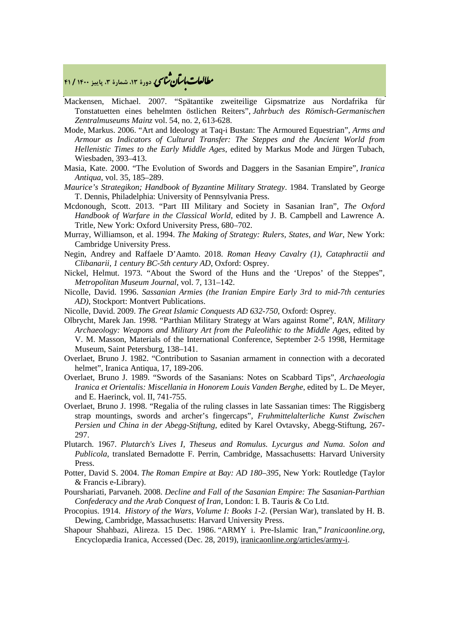## **، دورة ،13 شمارة ،3 پاییز <sup>1400</sup> / <sup>41</sup>** �نا� �طا ی �عات با�تان

- Mackensen, Michael. 2007. "Spätantike zweiteilige Gipsmatrize aus Nordafrika für Tonstatuetten eines behelmten östlichen Reiters", *Jahrbuch des Römisch-Germanischen Zentralmuseums Mainz* vol. 54, no. 2, 613-628.
- Mode, Markus. 2006. "Art and Ideology at Taq-i Bustan: The Armoured Equestrian", *Arms and Armour as Indicators of Cultural Transfer: The Steppes and the Ancient World from Hellenistic Times to the Early Middle Ages*, edited by Markus Mode and Jürgen Tubach, Wiesbaden, 393–413.
- Masia, Kate. 2000. "The Evolution of Swords and Daggers in the Sasanian Empire", *Iranica Antiqua*, vol. 35, 185–289.
- *Maurice's Strategikon; Handbook of Byzantine Military Strategy*. 1984. Translated by George T. Dennis, Philadelphia: University of Pennsylvania Press.
- Mcdonough, Scott. 2013. "Part III Military and Society in Sasanian Iran", *The Oxford Handbook of Warfare in the Classical World*, edited by J. B. Campbell and Lawrence A. Tritle, New York: Oxford University Press, 680–702.
- Murray, Williamson, et al. 1994. *The Making of Strategy: Rulers, States, and War*, New York: Cambridge University Press.
- Negin, Andrey and Raffaele D'Aamto. 2018. *Roman Heavy Cavalry (1), Cataphractii and Clibanarii, 1 century BC-5th century AD*, Oxford: Osprey.
- Nickel, Helmut. 1973. "About the Sword of the Huns and the 'Urepos' of the Steppes", *Metropolitan Museum Journal*, vol. 7, 131–142.
- Nicolle, David. 1996. *Sassanian Armies (the Iranian Empire Early 3rd to mid-7th centuries AD)*, Stockport: Montvert Publications.
- Nicolle, David. 2009. *The Great Islamic Conquests AD 632-750*, Oxford: Osprey.
- Olbrycht, Marek Jan. 1998. "Parthian Military Strategy at Wars against Rome", *RAN, Military Archaeology: Weapons and Military Art from the Paleolithic to the Middle Ages*, edited by V. M. Masson, Materials of the International Conference, September 2-5 1998, Hermitage Museum, Saint Petersburg, 138–141.
- Overlaet, Bruno J. 1982. "Contribution to Sasanian armament in connection with a decorated helmet", Iranica Antiqua, 17, 189-206.
- Overlaet, Bruno J. 1989. "Swords of the Sasanians: Notes on Scabbard Tips", *Archaeologia Iranica et Orientalis: Miscellania in Honorem Louis Vanden Berghe*, edited by L. De Meyer, and E. Haerinck, vol. II, 741-755.
- Overlaet, Bruno J. 1998. "Regalia of the ruling classes in late Sassanian times: The Riggisberg strap mountings, swords and archer's fingercaps", *Fruhmittelalterliche Kunst Zwischen Persien und China in der Abegg-Stiftung*, edited by Karel Ovtavsky, Abegg-Stiftung, 267- 297.
- Plutarch. 1967. *Plutarch's Lives I, Theseus and Romulus. Lycurgus and Numa. Solon and Publicola*, translated Bernadotte F. Perrin, Cambridge, Massachusetts: Harvard University Press.
- Potter, David S. 2004. *The Roman Empire at Bay: AD 180–395*, New York: Routledge (Taylor & Francis e-Library).
- Pourshariati, Parvaneh. 2008. *Decline and Fall of the Sasanian Empire: The Sasanian-Parthian Confederacy and the Arab Conquest of Iran*, London: I. B. Tauris & Co Ltd.
- Procopius. 1914. *History of the Wars, Volume I: Books 1-2*. (Persian War), translated by H. B. Dewing, Cambridge, Massachusetts: Harvard University Press.
- Shapour Shahbazi, Alireza. 15 Dec. 1986. "ARMY i. Pre-Islamic Iran," *Iranicaonline.org*, Encyclopædia Iranica, Accessed (Dec. 28, 2019), iranicaonline.org/articles/army-i.